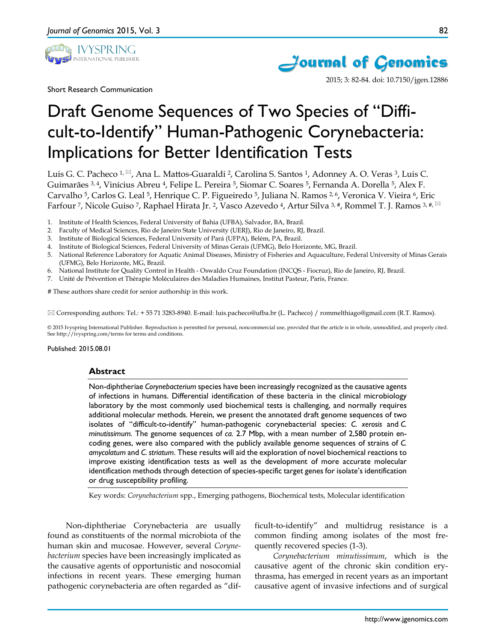

Short Research Communication



2015; 3: 82-84. doi: 10.7150/jgen.12886

# Draft Genome Sequences of Two Species of "Difficult-to-Identify" Human-Pathogenic Corynebacteria: Implications for Better Identification Tests

Luis G. C. Pacheco  $1, \frac{\infty}{2}$ , Ana L. Mattos-Guaraldi <sup>2</sup>, Carolina S. Santos <sup>1</sup>, Adonney A. O. Veras <sup>3</sup>, Luis C. Guimarães <sup>3, 4</sup>, Vinícius Abreu <sup>4</sup>, Felipe L. Pereira <sup>5</sup>, Siomar C. Soares <sup>5</sup>, Fernanda A. Dorella <sup>5</sup>, Alex F. Carvalho <sup>5</sup>, Carlos G. Leal <sup>5</sup>, Henrique C. P. Figueiredo <sup>5</sup>, Juliana N. Ramos <sup>2, 6</sup>, Veronica V. Vieira <sup>6</sup>, Eric Farfour 7, Nicole Guiso 7, Raphael Hirata Jr. 2, Vasco Azevedo 4, Artur Silva 3, #, Rommel T. J. Ramos 3, #,

- 1. Institute of Health Sciences, Federal University of Bahia (UFBA), Salvador, BA, Brazil.
- 2. Faculty of Medical Sciences, Rio de Janeiro State University (UERJ), Rio de Janeiro, RJ, Brazil.
- 3. Institute of Biological Sciences, Federal University of Pará (UFPA), Belém, PA, Brazil.
- 4. Institute of Biological Sciences, Federal University of Minas Gerais (UFMG), Belo Horizonte, MG, Brazil.
- 5. National Reference Laboratory for Aquatic Animal Diseases, Ministry of Fisheries and Aquaculture, Federal University of Minas Gerais (UFMG), Belo Horizonte, MG, Brazil.
- 6. National Institute for Quality Control in Health Oswaldo Cruz Foundation (INCQS Fiocruz), Rio de Janeiro, RJ, Brazil.
- 7. Unité de Prévention et Thérapie Moléculaires des Maladies Humaines, Institut Pasteur, Paris, France.

# These authors share credit for senior authorship in this work.

Corresponding authors: Tel.: + 55 71 3283-8940. E-mail: luis.pacheco@ufba.br (L. Pacheco) / rommelthiago@gmail.com (R.T. Ramos).

© 2015 Ivyspring International Publisher. Reproduction is permitted for personal, noncommercial use, provided that the article is in whole, unmodified, and properly cited. See http://ivyspring.com/terms for terms and conditions.

Published: 2015.08.01

#### **Abstract**

Non-diphtheriae *Corynebacterium* species have been increasingly recognized as the causative agents of infections in humans. Differential identification of these bacteria in the clinical microbiology laboratory by the most commonly used biochemical tests is challenging, and normally requires additional molecular methods. Herein, we present the annotated draft genome sequences of two isolates of "difficult-to-identify" human-pathogenic corynebacterial species: *C. xerosis* and *C. minutissimum.* The genome sequences of *ca.* 2.7 Mbp, with a mean number of 2,580 protein encoding genes, were also compared with the publicly available genome sequences of strains of *C. amycolatum* and *C. striatum*. These results will aid the exploration of novel biochemical reactions to improve existing identification tests as well as the development of more accurate molecular identification methods through detection of species-specific target genes for isolate's identification or drug susceptibility profiling.

Key words: *Corynebacterium* spp., Emerging pathogens, Biochemical tests, Molecular identification

Non-diphtheriae Corynebacteria are usually found as constituents of the normal microbiota of the human skin and mucosae. However, several *Corynebacterium* species have been increasingly implicated as the causative agents of opportunistic and nosocomial infections in recent years. These emerging human pathogenic corynebacteria are often regarded as "difficult-to-identify" and multidrug resistance is a common finding among isolates of the most frequently recovered species (1-3).

*Corynebacterium minutissimum*, which is the causative agent of the chronic skin condition erythrasma, has emerged in recent years as an important causative agent of invasive infections and of surgical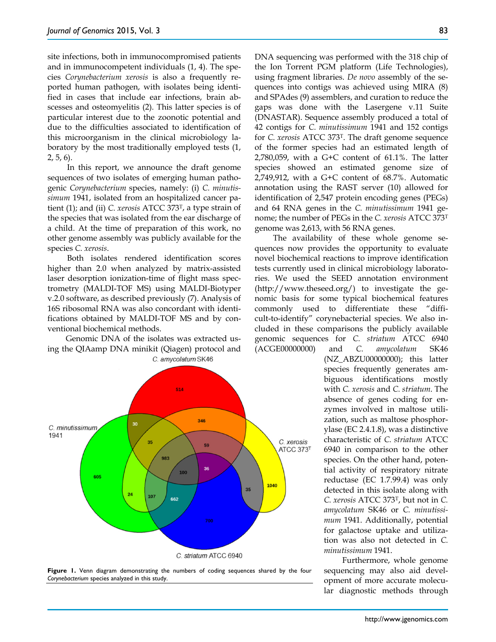site infections, both in immunocompromised patients and in immunocompetent individuals (1, 4). The species *Corynebacterium xerosis* is also a frequently reported human pathogen, with isolates being identified in cases that include ear infections, brain abscesses and osteomyelitis (2). This latter species is of particular interest due to the zoonotic potential and due to the difficulties associated to identification of this microorganism in the clinical microbiology laboratory by the most traditionally employed tests (1, 2, 5, 6).

In this report, we announce the draft genome sequences of two isolates of emerging human pathogenic *Corynebacterium* species, namely: (i) *C. minutissimum* 1941, isolated from an hospitalized cancer patient (1); and (ii) *C. xerosis* ATCC 373T, a type strain of the species that was isolated from the ear discharge of a child. At the time of preparation of this work, no other genome assembly was publicly available for the species *C. xerosis*.

Both isolates rendered identification scores higher than 2.0 when analyzed by matrix-assisted laser desorption ionization-time of flight mass spectrometry (MALDI-TOF MS) using MALDI-Biotyper v.2.0 software, as described previously (7). Analysis of 16S ribosomal RNA was also concordant with identifications obtained by MALDI-TOF MS and by conventional biochemical methods.

Genomic DNA of the isolates was extracted using the QIAamp DNA minikit (Qiagen) protocol and C. amycolatum SK46



**Figure 1.** Venn diagram demonstrating the numbers of coding sequences shared by the four *Corynebacterium* species analyzed in this study.

DNA sequencing was performed with the 318 chip of the Ion Torrent PGM platform (Life Technologies), using fragment libraries. *De novo* assembly of the sequences into contigs was achieved using MIRA (8) and SPAdes (9) assemblers, and curation to reduce the gaps was done with the Lasergene v.11 Suite (DNASTAR). Sequence assembly produced a total of 42 contigs for *C. minutissimum* 1941 and 152 contigs for *C. xerosis* ATCC 373T. The draft genome sequence of the former species had an estimated length of 2,780,059, with a G+C content of 61.1%. The latter species showed an estimated genome size of 2,749,912, with a G+C content of 68.7%. Automatic annotation using the RAST server (10) allowed for identification of 2,547 protein encoding genes (PEGs) and 64 RNA genes in the *C. minutissimum* 1941 genome; the number of PEGs in the *C. xerosis* ATCC 373T genome was 2,613, with 56 RNA genes.

The availability of these whole genome sequences now provides the opportunity to evaluate novel biochemical reactions to improve identification tests currently used in clinical microbiology laboratories. We used the SEED annotation environment (http://www.theseed.org/) to investigate the genomic basis for some typical biochemical features commonly used to differentiate these "difficult-to-identify" corynebacterial species. We also included in these comparisons the publicly available genomic sequences for *C. striatum* ATCC 6940 (ACGE00000000) and *C. amycolatum* SK46

(NZ\_ABZU00000000); this latter species frequently generates ambiguous identifications mostly with *C. xerosis* and *C. striatum*. The absence of genes coding for enzymes involved in maltose utilization, such as maltose phosphorylase (EC 2.4.1.8), was a distinctive characteristic of *C. striatum* ATCC 6940 in comparison to the other species. On the other hand, potential activity of respiratory nitrate reductase (EC 1.7.99.4) was only detected in this isolate along with *C. xerosis* ATCC 373T, but not in *C. amycolatum* SK46 or *C. minutissimum* 1941. Additionally, potential for galactose uptake and utilization was also not detected in *C. minutissimum* 1941.

Furthermore, whole genome sequencing may also aid development of more accurate molecular diagnostic methods through